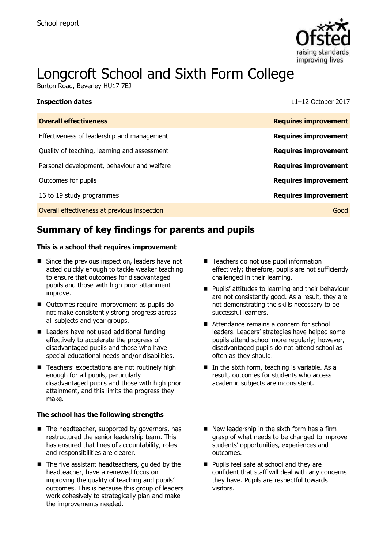

# Longcroft School and Sixth Form College

Burton Road, Beverley HU17 7EJ

| <b>Inspection dates</b> | 11-12 October 2017 |
|-------------------------|--------------------|

| <b>Overall effectiveness</b>                 | <b>Requires improvement</b> |
|----------------------------------------------|-----------------------------|
| Effectiveness of leadership and management   | <b>Requires improvement</b> |
| Quality of teaching, learning and assessment | <b>Requires improvement</b> |
| Personal development, behaviour and welfare  | <b>Requires improvement</b> |
| Outcomes for pupils                          | <b>Requires improvement</b> |
| 16 to 19 study programmes                    | <b>Requires improvement</b> |
| Overall effectiveness at previous inspection | Good                        |

# **Summary of key findings for parents and pupils**

#### **This is a school that requires improvement**

- Since the previous inspection, leaders have not acted quickly enough to tackle weaker teaching to ensure that outcomes for disadvantaged pupils and those with high prior attainment improve.
- Outcomes require improvement as pupils do not make consistently strong progress across all subjects and year groups.
- Leaders have not used additional funding effectively to accelerate the progress of disadvantaged pupils and those who have special educational needs and/or disabilities.
- Teachers' expectations are not routinely high enough for all pupils, particularly disadvantaged pupils and those with high prior attainment, and this limits the progress they make.

#### **The school has the following strengths**

- $\blacksquare$  The headteacher, supported by governors, has restructured the senior leadership team. This has ensured that lines of accountability, roles and responsibilities are clearer.
- $\blacksquare$  The five assistant headteachers, quided by the headteacher, have a renewed focus on improving the quality of teaching and pupils' outcomes. This is because this group of leaders work cohesively to strategically plan and make the improvements needed.
- Teachers do not use pupil information effectively; therefore, pupils are not sufficiently challenged in their learning.
- **Pupils' attitudes to learning and their behaviour** are not consistently good. As a result, they are not demonstrating the skills necessary to be successful learners.
- Attendance remains a concern for school leaders. Leaders' strategies have helped some pupils attend school more regularly; however, disadvantaged pupils do not attend school as often as they should.
- $\blacksquare$  In the sixth form, teaching is variable. As a result, outcomes for students who access academic subjects are inconsistent.
- $\blacksquare$  New leadership in the sixth form has a firm grasp of what needs to be changed to improve students' opportunities, experiences and outcomes.
- **Pupils feel safe at school and they are** confident that staff will deal with any concerns they have. Pupils are respectful towards visitors.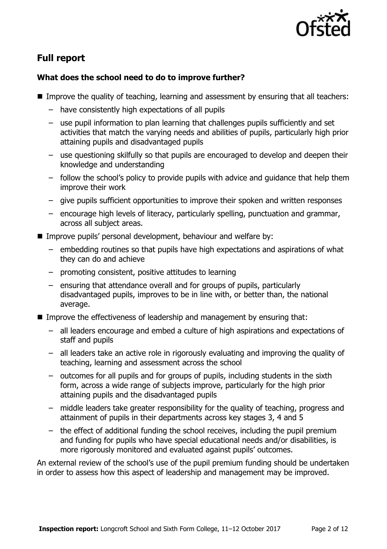

# **Full report**

### **What does the school need to do to improve further?**

- Improve the quality of teaching, learning and assessment by ensuring that all teachers:
	- have consistently high expectations of all pupils
	- use pupil information to plan learning that challenges pupils sufficiently and set activities that match the varying needs and abilities of pupils, particularly high prior attaining pupils and disadvantaged pupils
	- use questioning skilfully so that pupils are encouraged to develop and deepen their knowledge and understanding
	- follow the school's policy to provide pupils with advice and guidance that help them improve their work
	- give pupils sufficient opportunities to improve their spoken and written responses
	- encourage high levels of literacy, particularly spelling, punctuation and grammar, across all subject areas.
- Improve pupils' personal development, behaviour and welfare by:
	- embedding routines so that pupils have high expectations and aspirations of what they can do and achieve
	- promoting consistent, positive attitudes to learning
	- ensuring that attendance overall and for groups of pupils, particularly disadvantaged pupils, improves to be in line with, or better than, the national average.
- Improve the effectiveness of leadership and management by ensuring that:
	- all leaders encourage and embed a culture of high aspirations and expectations of staff and pupils
	- all leaders take an active role in rigorously evaluating and improving the quality of teaching, learning and assessment across the school
	- outcomes for all pupils and for groups of pupils, including students in the sixth form, across a wide range of subjects improve, particularly for the high prior attaining pupils and the disadvantaged pupils
	- middle leaders take greater responsibility for the quality of teaching, progress and attainment of pupils in their departments across key stages 3, 4 and 5
	- the effect of additional funding the school receives, including the pupil premium and funding for pupils who have special educational needs and/or disabilities, is more rigorously monitored and evaluated against pupils' outcomes.

An external review of the school's use of the pupil premium funding should be undertaken in order to assess how this aspect of leadership and management may be improved.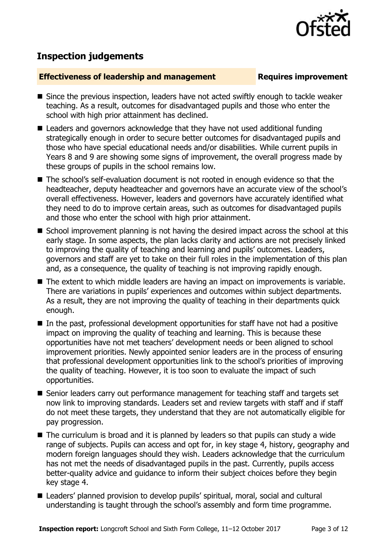

# **Inspection judgements**

#### **Effectiveness of leadership and management Requires improvement**

- Since the previous inspection, leaders have not acted swiftly enough to tackle weaker teaching. As a result, outcomes for disadvantaged pupils and those who enter the school with high prior attainment has declined.
- Leaders and governors acknowledge that they have not used additional funding strategically enough in order to secure better outcomes for disadvantaged pupils and those who have special educational needs and/or disabilities. While current pupils in Years 8 and 9 are showing some signs of improvement, the overall progress made by these groups of pupils in the school remains low.
- The school's self-evaluation document is not rooted in enough evidence so that the headteacher, deputy headteacher and governors have an accurate view of the school's overall effectiveness. However, leaders and governors have accurately identified what they need to do to improve certain areas, such as outcomes for disadvantaged pupils and those who enter the school with high prior attainment.
- School improvement planning is not having the desired impact across the school at this early stage. In some aspects, the plan lacks clarity and actions are not precisely linked to improving the quality of teaching and learning and pupils' outcomes. Leaders, governors and staff are yet to take on their full roles in the implementation of this plan and, as a consequence, the quality of teaching is not improving rapidly enough.
- The extent to which middle leaders are having an impact on improvements is variable. There are variations in pupils' experiences and outcomes within subject departments. As a result, they are not improving the quality of teaching in their departments quick enough.
- In the past, professional development opportunities for staff have not had a positive impact on improving the quality of teaching and learning. This is because these opportunities have not met teachers' development needs or been aligned to school improvement priorities. Newly appointed senior leaders are in the process of ensuring that professional development opportunities link to the school's priorities of improving the quality of teaching. However, it is too soon to evaluate the impact of such opportunities.
- Senior leaders carry out performance management for teaching staff and targets set now link to improving standards. Leaders set and review targets with staff and if staff do not meet these targets, they understand that they are not automatically eligible for pay progression.
- The curriculum is broad and it is planned by leaders so that pupils can study a wide range of subjects. Pupils can access and opt for, in key stage 4, history, geography and modern foreign languages should they wish. Leaders acknowledge that the curriculum has not met the needs of disadvantaged pupils in the past. Currently, pupils access better-quality advice and guidance to inform their subject choices before they begin key stage 4.
- Leaders' planned provision to develop pupils' spiritual, moral, social and cultural understanding is taught through the school's assembly and form time programme.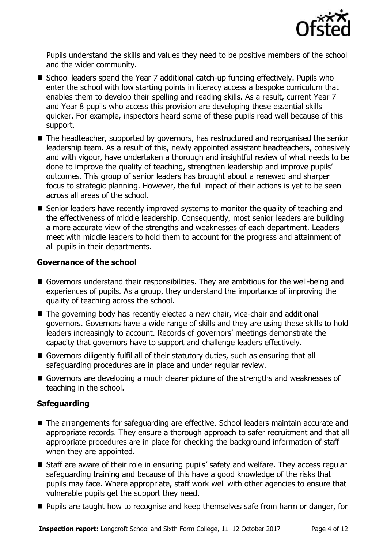

Pupils understand the skills and values they need to be positive members of the school and the wider community.

- School leaders spend the Year 7 additional catch-up funding effectively. Pupils who enter the school with low starting points in literacy access a bespoke curriculum that enables them to develop their spelling and reading skills. As a result, current Year 7 and Year 8 pupils who access this provision are developing these essential skills quicker. For example, inspectors heard some of these pupils read well because of this support.
- The headteacher, supported by governors, has restructured and reorganised the senior leadership team. As a result of this, newly appointed assistant headteachers, cohesively and with vigour, have undertaken a thorough and insightful review of what needs to be done to improve the quality of teaching, strengthen leadership and improve pupils' outcomes. This group of senior leaders has brought about a renewed and sharper focus to strategic planning. However, the full impact of their actions is yet to be seen across all areas of the school.
- Senior leaders have recently improved systems to monitor the quality of teaching and the effectiveness of middle leadership. Consequently, most senior leaders are building a more accurate view of the strengths and weaknesses of each department. Leaders meet with middle leaders to hold them to account for the progress and attainment of all pupils in their departments.

#### **Governance of the school**

- Governors understand their responsibilities. They are ambitious for the well-being and experiences of pupils. As a group, they understand the importance of improving the quality of teaching across the school.
- The governing body has recently elected a new chair, vice-chair and additional governors. Governors have a wide range of skills and they are using these skills to hold leaders increasingly to account. Records of governors' meetings demonstrate the capacity that governors have to support and challenge leaders effectively.
- Governors diligently fulfil all of their statutory duties, such as ensuring that all safeguarding procedures are in place and under regular review.
- Governors are developing a much clearer picture of the strengths and weaknesses of teaching in the school.

### **Safeguarding**

- The arrangements for safeguarding are effective. School leaders maintain accurate and appropriate records. They ensure a thorough approach to safer recruitment and that all appropriate procedures are in place for checking the background information of staff when they are appointed.
- Staff are aware of their role in ensuring pupils' safety and welfare. They access regular safeguarding training and because of this have a good knowledge of the risks that pupils may face. Where appropriate, staff work well with other agencies to ensure that vulnerable pupils get the support they need.
- **Pupils are taught how to recognise and keep themselves safe from harm or danger, for**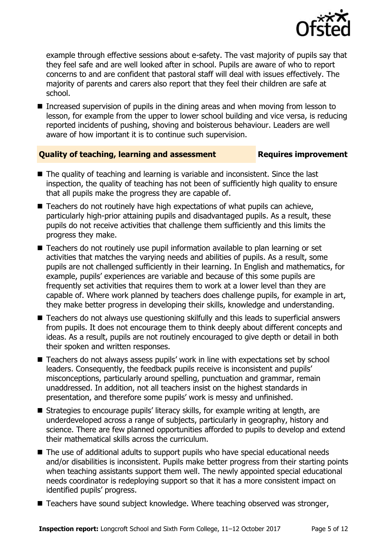

example through effective sessions about e-safety. The vast majority of pupils say that they feel safe and are well looked after in school. Pupils are aware of who to report concerns to and are confident that pastoral staff will deal with issues effectively. The majority of parents and carers also report that they feel their children are safe at school.

Increased supervision of pupils in the dining areas and when moving from lesson to lesson, for example from the upper to lower school building and vice versa, is reducing reported incidents of pushing, shoving and boisterous behaviour. Leaders are well aware of how important it is to continue such supervision.

### **Quality of teaching, learning and assessment Requires improvement**

- The quality of teaching and learning is variable and inconsistent. Since the last inspection, the quality of teaching has not been of sufficiently high quality to ensure that all pupils make the progress they are capable of.
- Teachers do not routinely have high expectations of what pupils can achieve, particularly high-prior attaining pupils and disadvantaged pupils. As a result, these pupils do not receive activities that challenge them sufficiently and this limits the progress they make.
- Teachers do not routinely use pupil information available to plan learning or set activities that matches the varying needs and abilities of pupils. As a result, some pupils are not challenged sufficiently in their learning. In English and mathematics, for example, pupils' experiences are variable and because of this some pupils are frequently set activities that requires them to work at a lower level than they are capable of. Where work planned by teachers does challenge pupils, for example in art, they make better progress in developing their skills, knowledge and understanding.
- Teachers do not always use questioning skilfully and this leads to superficial answers from pupils. It does not encourage them to think deeply about different concepts and ideas. As a result, pupils are not routinely encouraged to give depth or detail in both their spoken and written responses.
- Teachers do not always assess pupils' work in line with expectations set by school leaders. Consequently, the feedback pupils receive is inconsistent and pupils' misconceptions, particularly around spelling, punctuation and grammar, remain unaddressed. In addition, not all teachers insist on the highest standards in presentation, and therefore some pupils' work is messy and unfinished.
- Strategies to encourage pupils' literacy skills, for example writing at length, are underdeveloped across a range of subjects, particularly in geography, history and science. There are few planned opportunities afforded to pupils to develop and extend their mathematical skills across the curriculum.
- The use of additional adults to support pupils who have special educational needs and/or disabilities is inconsistent. Pupils make better progress from their starting points when teaching assistants support them well. The newly appointed special educational needs coordinator is redeploying support so that it has a more consistent impact on identified pupils' progress.
- Teachers have sound subject knowledge. Where teaching observed was stronger,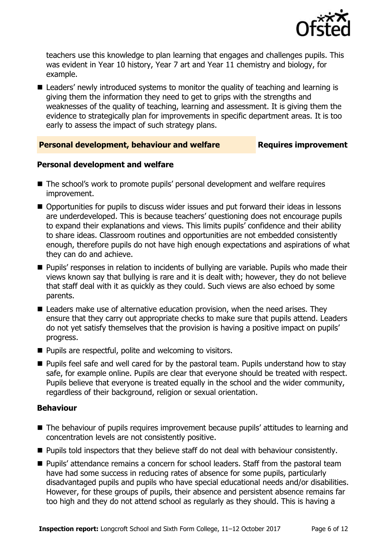

teachers use this knowledge to plan learning that engages and challenges pupils. This was evident in Year 10 history, Year 7 art and Year 11 chemistry and biology, for example.

■ Leaders' newly introduced systems to monitor the quality of teaching and learning is giving them the information they need to get to grips with the strengths and weaknesses of the quality of teaching, learning and assessment. It is giving them the evidence to strategically plan for improvements in specific department areas. It is too early to assess the impact of such strategy plans.

#### **Personal development, behaviour and welfare Fig. 2.1 Requires improvement**

#### **Personal development and welfare**

- The school's work to promote pupils' personal development and welfare requires improvement.
- Opportunities for pupils to discuss wider issues and put forward their ideas in lessons are underdeveloped. This is because teachers' questioning does not encourage pupils to expand their explanations and views. This limits pupils' confidence and their ability to share ideas. Classroom routines and opportunities are not embedded consistently enough, therefore pupils do not have high enough expectations and aspirations of what they can do and achieve.
- **Pupils' responses in relation to incidents of bullying are variable. Pupils who made their** views known say that bullying is rare and it is dealt with; however, they do not believe that staff deal with it as quickly as they could. Such views are also echoed by some parents.
- Leaders make use of alternative education provision, when the need arises. They ensure that they carry out appropriate checks to make sure that pupils attend. Leaders do not yet satisfy themselves that the provision is having a positive impact on pupils' progress.
- Pupils are respectful, polite and welcoming to visitors.
- **Pupils feel safe and well cared for by the pastoral team. Pupils understand how to stay** safe, for example online. Pupils are clear that everyone should be treated with respect. Pupils believe that everyone is treated equally in the school and the wider community, regardless of their background, religion or sexual orientation.

#### **Behaviour**

- The behaviour of pupils requires improvement because pupils' attitudes to learning and concentration levels are not consistently positive.
- **Pupils told inspectors that they believe staff do not deal with behaviour consistently.**
- **Pupils'** attendance remains a concern for school leaders. Staff from the pastoral team have had some success in reducing rates of absence for some pupils, particularly disadvantaged pupils and pupils who have special educational needs and/or disabilities. However, for these groups of pupils, their absence and persistent absence remains far too high and they do not attend school as regularly as they should. This is having a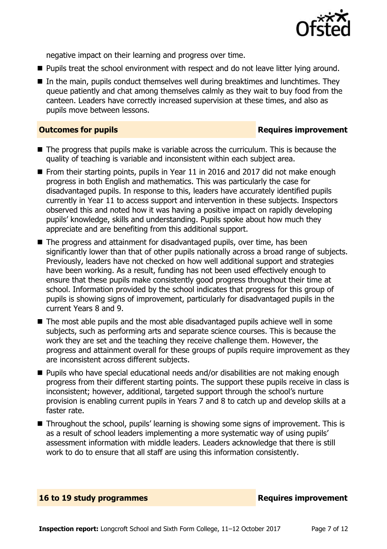

negative impact on their learning and progress over time.

- **Pupils treat the school environment with respect and do not leave litter lying around.**
- $\blacksquare$  In the main, pupils conduct themselves well during breaktimes and lunchtimes. They queue patiently and chat among themselves calmly as they wait to buy food from the canteen. Leaders have correctly increased supervision at these times, and also as pupils move between lessons.

#### **Outcomes for pupils Requires improvement**

- $\blacksquare$  The progress that pupils make is variable across the curriculum. This is because the quality of teaching is variable and inconsistent within each subject area.
- From their starting points, pupils in Year 11 in 2016 and 2017 did not make enough progress in both English and mathematics. This was particularly the case for disadvantaged pupils. In response to this, leaders have accurately identified pupils currently in Year 11 to access support and intervention in these subjects. Inspectors observed this and noted how it was having a positive impact on rapidly developing pupils' knowledge, skills and understanding. Pupils spoke about how much they appreciate and are benefiting from this additional support.
- The progress and attainment for disadvantaged pupils, over time, has been significantly lower than that of other pupils nationally across a broad range of subjects. Previously, leaders have not checked on how well additional support and strategies have been working. As a result, funding has not been used effectively enough to ensure that these pupils make consistently good progress throughout their time at school. Information provided by the school indicates that progress for this group of pupils is showing signs of improvement, particularly for disadvantaged pupils in the current Years 8 and 9.
- The most able pupils and the most able disadvantaged pupils achieve well in some subjects, such as performing arts and separate science courses. This is because the work they are set and the teaching they receive challenge them. However, the progress and attainment overall for these groups of pupils require improvement as they are inconsistent across different subjects.
- Pupils who have special educational needs and/or disabilities are not making enough progress from their different starting points. The support these pupils receive in class is inconsistent; however, additional, targeted support through the school's nurture provision is enabling current pupils in Years 7 and 8 to catch up and develop skills at a faster rate.
- Throughout the school, pupils' learning is showing some signs of improvement. This is as a result of school leaders implementing a more systematic way of using pupils' assessment information with middle leaders. Leaders acknowledge that there is still work to do to ensure that all staff are using this information consistently.

#### **16 to 19 study programmes Requires improvement**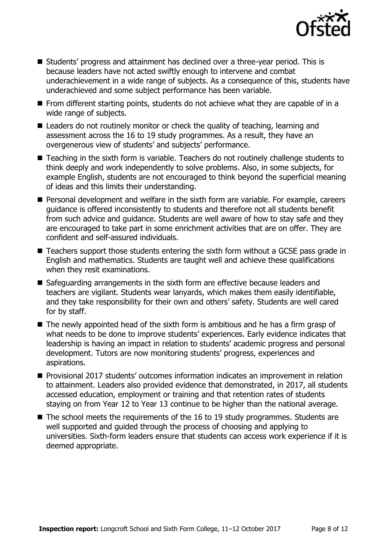

- Students' progress and attainment has declined over a three-year period. This is because leaders have not acted swiftly enough to intervene and combat underachievement in a wide range of subjects. As a consequence of this, students have underachieved and some subject performance has been variable.
- **From different starting points, students do not achieve what they are capable of in a** wide range of subjects.
- Leaders do not routinely monitor or check the quality of teaching, learning and assessment across the 16 to 19 study programmes. As a result, they have an overgenerous view of students' and subjects' performance.
- Teaching in the sixth form is variable. Teachers do not routinely challenge students to think deeply and work independently to solve problems. Also, in some subjects, for example English, students are not encouraged to think beyond the superficial meaning of ideas and this limits their understanding.
- **Personal development and welfare in the sixth form are variable. For example, careers** guidance is offered inconsistently to students and therefore not all students benefit from such advice and guidance. Students are well aware of how to stay safe and they are encouraged to take part in some enrichment activities that are on offer. They are confident and self-assured individuals.
- Teachers support those students entering the sixth form without a GCSE pass grade in English and mathematics. Students are taught well and achieve these qualifications when they resit examinations.
- Safeguarding arrangements in the sixth form are effective because leaders and teachers are vigilant. Students wear lanyards, which makes them easily identifiable, and they take responsibility for their own and others' safety. Students are well cared for by staff.
- The newly appointed head of the sixth form is ambitious and he has a firm grasp of what needs to be done to improve students' experiences. Early evidence indicates that leadership is having an impact in relation to students' academic progress and personal development. Tutors are now monitoring students' progress, experiences and aspirations.
- Provisional 2017 students' outcomes information indicates an improvement in relation to attainment. Leaders also provided evidence that demonstrated, in 2017, all students accessed education, employment or training and that retention rates of students staying on from Year 12 to Year 13 continue to be higher than the national average.
- $\blacksquare$  The school meets the requirements of the 16 to 19 study programmes. Students are well supported and guided through the process of choosing and applying to universities. Sixth-form leaders ensure that students can access work experience if it is deemed appropriate.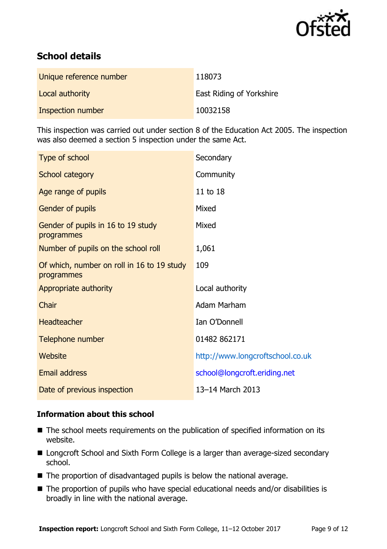

# **School details**

| Unique reference number | 118073                          |
|-------------------------|---------------------------------|
| Local authority         | <b>East Riding of Yorkshire</b> |
| Inspection number       | 10032158                        |

This inspection was carried out under section 8 of the Education Act 2005. The inspection was also deemed a section 5 inspection under the same Act.

| Secondary                        |
|----------------------------------|
| Community                        |
| 11 to 18                         |
| Mixed                            |
| Mixed                            |
| 1,061                            |
| 109                              |
| Local authority                  |
| Adam Marham                      |
| Ian O'Donnell                    |
| 01482 862171                     |
| http://www.longcroftschool.co.uk |
| school@longcroft.eriding.net     |
| 13-14 March 2013                 |
|                                  |

### **Information about this school**

- The school meets requirements on the publication of specified information on its website.
- Longcroft School and Sixth Form College is a larger than average-sized secondary school.
- The proportion of disadvantaged pupils is below the national average.
- The proportion of pupils who have special educational needs and/or disabilities is broadly in line with the national average.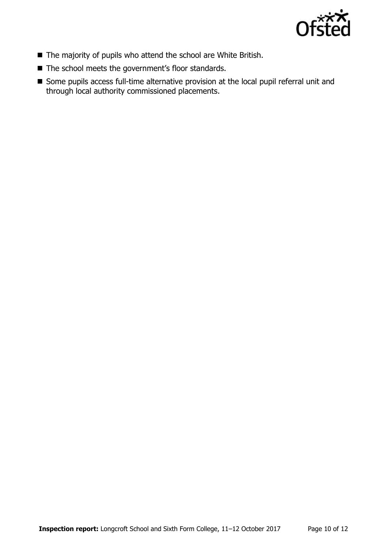

- The majority of pupils who attend the school are White British.
- The school meets the government's floor standards.
- Some pupils access full-time alternative provision at the local pupil referral unit and through local authority commissioned placements.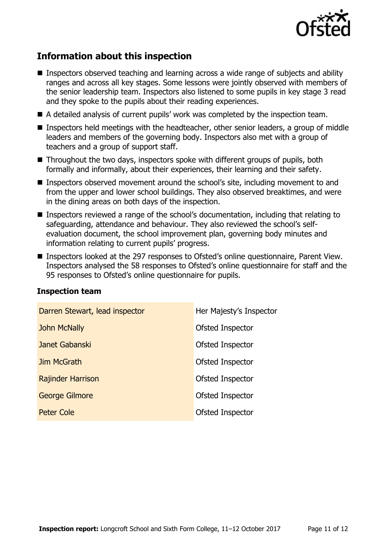

## **Information about this inspection**

- Inspectors observed teaching and learning across a wide range of subjects and ability ranges and across all key stages. Some lessons were jointly observed with members of the senior leadership team. Inspectors also listened to some pupils in key stage 3 read and they spoke to the pupils about their reading experiences.
- A detailed analysis of current pupils' work was completed by the inspection team.
- Inspectors held meetings with the headteacher, other senior leaders, a group of middle leaders and members of the governing body. Inspectors also met with a group of teachers and a group of support staff.
- Throughout the two days, inspectors spoke with different groups of pupils, both formally and informally, about their experiences, their learning and their safety.
- Inspectors observed movement around the school's site, including movement to and from the upper and lower school buildings. They also observed breaktimes, and were in the dining areas on both days of the inspection.
- Inspectors reviewed a range of the school's documentation, including that relating to safeguarding, attendance and behaviour. They also reviewed the school's selfevaluation document, the school improvement plan, governing body minutes and information relating to current pupils' progress.
- Inspectors looked at the 297 responses to Ofsted's online questionnaire, Parent View. Inspectors analysed the 58 responses to Ofsted's online questionnaire for staff and the 95 responses to Ofsted's online questionnaire for pupils.

| Darren Stewart, lead inspector | Her Majesty's Inspector |
|--------------------------------|-------------------------|
| <b>John McNally</b>            | Ofsted Inspector        |
| Janet Gabanski                 | Ofsted Inspector        |
| Jim McGrath                    | Ofsted Inspector        |
| <b>Rajinder Harrison</b>       | Ofsted Inspector        |
| <b>George Gilmore</b>          | Ofsted Inspector        |
| Peter Cole                     | Ofsted Inspector        |

#### **Inspection team**